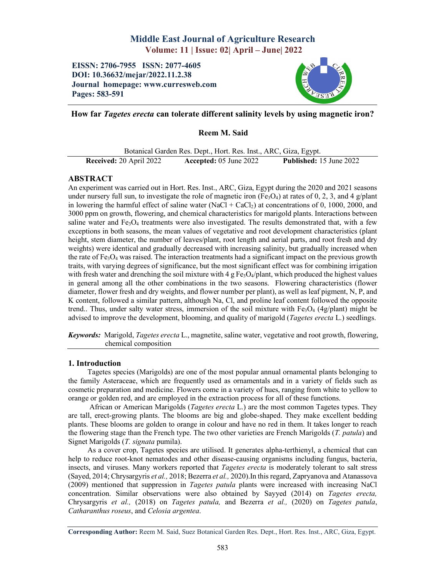# Middle East Journal of Agriculture Research Volume: 11 | Issue: 02| April – June| 2022

## EISSN: 2706-7955 ISSN: 2077-4605 DOI: 10.36632/mejar/2022.11.2.38 Journal homepage: www.curresweb.com Pages: 583-591



# How far *Tagetes erecta* can tolerate different salinity levels by using magnetic iron?

Reem M. Said

|                         | Botanical Garden Res. Dept., Hort. Res. Inst., ARC, Giza, Egypt. |                                |
|-------------------------|------------------------------------------------------------------|--------------------------------|
| Received: 20 April 2022 | Accepted: $05$ June $2022$                                       | <b>Published:</b> 15 June 2022 |

## ABSTRACT

An experiment was carried out in Hort. Res. Inst., ARC, Giza, Egypt during the 2020 and 2021 seasons under nursery full sun, to investigate the role of magnetic iron (Fe<sub>3</sub>O<sub>4</sub>) at rates of 0, 2, 3, and 4 g/plant in lowering the harmful effect of saline water  $(NaCl + CaCl<sub>2</sub>)$  at concentrations of 0, 1000, 2000, and 3000 ppm on growth, flowering, and chemical characteristics for marigold plants. Interactions between saline water and  $Fe<sub>3</sub>O<sub>4</sub>$  treatments were also investigated. The results demonstrated that, with a few exceptions in both seasons, the mean values of vegetative and root development characteristics (plant height, stem diameter, the number of leaves/plant, root length and aerial parts, and root fresh and dry weights) were identical and gradually decreased with increasing salinity, but gradually increased when the rate of  $Fe<sub>3</sub>O<sub>4</sub>$  was raised. The interaction treatments had a significant impact on the previous growth traits, with varying degrees of significance, but the most significant effect was for combining irrigation with fresh water and drenching the soil mixture with 4 g Fe<sub>3</sub>O<sub>4</sub>/plant, which produced the highest values in general among all the other combinations in the two seasons. Flowering characteristics (flower diameter, flower fresh and dry weights, and flower number per plant), as well as leaf pigment, N, P, and K content, followed a similar pattern, although Na, Cl, and proline leaf content followed the opposite trend.. Thus, under salty water stress, immersion of the soil mixture with  $Fe<sub>3</sub>O<sub>4</sub>$  (4g/plant) might be advised to improve the development, blooming, and quality of marigold (*Tagetes erecta* L.) seedlings.

*Keywords:* Marigold, *Tagetes erecta* L., magnetite, saline water, vegetative and root growth, flowering, chemical composition

## 1. Introduction

Tagetes species (Marigolds) are one of the most popular annual ornamental plants belonging to the family Asteraceae, which are frequently used as ornamentals and in a variety of fields such as cosmetic preparation and medicine. Flowers come in a variety of hues, ranging from white to yellow to orange or golden red, and are employed in the extraction process for all of these functions.

African or American Marigolds (*Tagetes erecta* L.) are the most common Tagetes types. They are tall, erect-growing plants. The blooms are big and globe-shaped. They make excellent bedding plants. These blooms are golden to orange in colour and have no red in them. It takes longer to reach the flowering stage than the French type. The two other varieties are French Marigolds (*T. patula*) and Signet Marigolds (*T. signata* pumila).

As a cover crop, Tagetes species are utilised. It generates alpha-terthienyl, a chemical that can help to reduce root-knot nematodes and other disease-causing organisms including fungus, bacteria, insects, and viruses. Many workers reported that *Tagetes erecta* is moderately tolerant to salt stress (Sayed, 2014; Chrysargyris *et al.,* 2018; Bezerra *et al.,* 2020).In this regard, Zapryanova and Atanassova (2009) mentioned that suppression in *Tagetes patula* plants were increased with increasing NaCl concentration. Similar observations were also obtained by Sayyed (2014) on *Tagetes erecta,* Chrysargyris *et al.,* (2018) on *Tagetes patula,* and Bezerra *et al.,* (2020) on *Tagetes patula*, *Catharanthus roseus*, and *Celosia argentea*.

Corresponding Author: Reem M. Said, Suez Botanical Garden Res. Dept., Hort. Res. Inst., ARC, Giza, Egypt.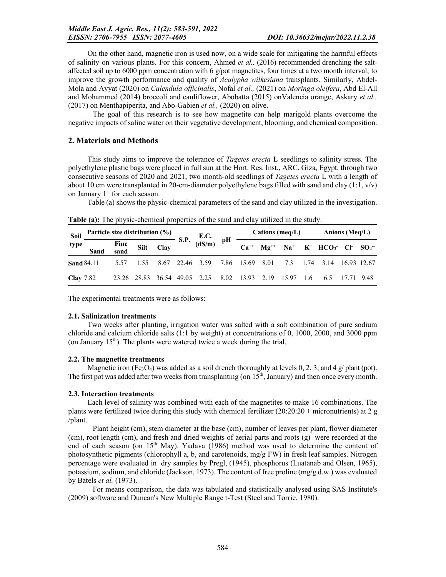On the other hand, magnetic iron is used now, on a wide scale for mitigating the harmful effects of salinity on various plants. For this concern, Ahmed *et al.,* (2016) recommended drenching the saltaffected soil up to 6000 ppm concentration with 6  $g$ /pot magnetites, four times at a two month interval, to improve the growth performance and quality of *Acalypha wilkesiana* transplants. Similarly, Abdel-Mola and Ayyat (2020) on *Calendula officinalis*, Nofal *et al.,* (2021) on *Moringa oleifera*, Abd El-All and Mohammed (2014) broccoli and cauliflower, Abobatta (2015) onValencia orange, Askary *et al.,*  (2017) on Menthapiperita, and Abo-Gabien *et al.,* (2020) on olive.

The goal of this research is to see how magnetite can help marigold plants overcome the negative impacts of saline water on their vegetative development, blooming, and chemical composition.

### 2. Materials and Methods

This study aims to improve the tolerance of *Tagetes erecta* L seedlings to salinity stress. The polyethylene plastic bags were placed in full sun at the Hort. Res. Inst., ARC, Giza, Egypt, through two consecutive seasons of 2020 and 2021, two month-old seedlings of *Tagetes erecta* L with a length of about 10 cm were transplanted in 20-cm-diameter polyethylene bags filled with sand and clay  $(1:1, v/v)$ on January  $1<sup>st</sup>$  for each season.

Table (a) shows the physic-chemical parameters of the sand and clay utilized in the investigation.

| Soil<br>type      |                                                                                        |  |  |                                                                       |  | Cations (meq/L) | Anions (Meq/L)                                       |  |  |  |
|-------------------|----------------------------------------------------------------------------------------|--|--|-----------------------------------------------------------------------|--|-----------------|------------------------------------------------------|--|--|--|
|                   | Particle size distribution (%)<br>Fine Silt Clay S.P. (dS/m) pH<br>Sand sand Silt Clay |  |  |                                                                       |  |                 | $Ca^{++}$ $Mg^{++}$ $Na^+$ $K^+$ $HCO_3^ Cl^ SO_4^-$ |  |  |  |
| <b>Sand 84.11</b> |                                                                                        |  |  | 5.57 1.55 8.67 22.46 3.59 7.86 15.69 8.01 7.3 1.74 3.14 16.93 12.67   |  |                 |                                                      |  |  |  |
| <b>Clay</b> 7.82  |                                                                                        |  |  | 23.26 28.83 36.54 49.05 2.25 8.02 13.93 2.19 15.97 1.6 6.5 17.71 9.48 |  |                 |                                                      |  |  |  |

Table (a): The physic-chemical properties of the sand and clay utilized in the study.

The experimental treatments were as follows:

#### 2.1. Salinization treatments

Two weeks after planting, irrigation water was salted with a salt combination of pure sodium chloride and calcium chloride salts (1:1 by weight) at concentrations of 0, 1000, 2000, and 3000 ppm (on January  $15<sup>th</sup>$ ). The plants were watered twice a week during the trial.

#### 2.2. The magnetite treatments

Magnetic iron (Fe<sub>3</sub>O<sub>4</sub>) was added as a soil drench thoroughly at levels 0, 2, 3, and 4 g/ plant (pot). The first pot was added after two weeks from transplanting (on  $15<sup>th</sup>$ , January) and then once every month.

#### 2.3. Interaction treatments

Each level of salinity was combined with each of the magnetites to make 16 combinations. The plants were fertilized twice during this study with chemical fertilizer  $(20:20:20 +$  micronutrients) at 2 g /plant.

Plant height (cm), stem diameter at the base (cm), number of leaves per plant, flower diameter (cm), root length (cm), and fresh and dried weights of aerial parts and roots (g) were recorded at the end of each season (on 15<sup>th</sup> May). Yadava (1986) method was used to determine the content of photosynthetic pigments (chlorophyll a, b, and carotenoids, mg/g FW) in fresh leaf samples. Nitrogen percentage were evaluated in dry samples by Pregl, (1945), phosphorus (Luatanab and Olsen, 1965), potassium, sodium, and chloride (Jackson, 1973). The content of free proline (mg/g d.w.) was evaluated by Batels *et al.* (1973).

For means comparison, the data was tabulated and statistically analysed using SAS Institute's (2009) software and Duncan's New Multiple Range t-Test (Steel and Torrie, 1980).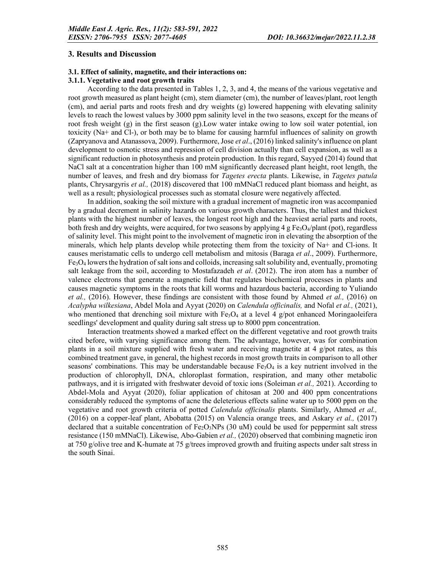#### 3. Results and Discussion

### 3.1. Effect of salinity, magnetite, and their interactions on:

#### 3.1.1. Vegetative and root growth traits

According to the data presented in Tables 1, 2, 3, and 4, the means of the various vegetative and root growth measured as plant height (cm), stem diameter (cm), the number of leaves/plant, root length (cm), and aerial parts and roots fresh and dry weights (g) lowered happening with elevating salinity levels to reach the lowest values by 3000 ppm salinity level in the two seasons, except for the means of root fresh weight (g) in the first season (g).Low water intake owing to low soil water potential, ion toxicity (Na+ and Cl-), or both may be to blame for causing harmful influences of salinity on growth (Zapryanova and Atanassova, 2009). Furthermore, Jose *et al*., (2016) linked salinity's influence on plant development to osmotic stress and repression of cell division actually than cell expansion, as well as a significant reduction in photosynthesis and protein production. In this regard, Sayyed (2014) found that NaCl salt at a concentration higher than 100 mM significantly decreased plant height, root length, the number of leaves, and fresh and dry biomass for *Tagetes erecta* plants. Likewise, in *Tagetes patula* plants, Chrysargyris *et al.,* (2018) discovered that 100 mMNaCl reduced plant biomass and height, as well as a result; physiological processes such as stomatal closure were negatively affected.

In addition, soaking the soil mixture with a gradual increment of magnetic iron was accompanied by a gradual decrement in salinity hazards on various growth characters. Thus, the tallest and thickest plants with the highest number of leaves, the longest root high and the heaviest aerial parts and roots, both fresh and dry weights, were acquired, for two seasons by applying 4 g Fe3O4/plant (pot), regardless of salinity level. This might point to the involvement of magnetic iron in elevating the absorption of the minerals, which help plants develop while protecting them from the toxicity of Na+ and Cl-ions. It causes meristamatic cells to undergo cell metabolism and mitosis (Baraga *et al*., 2009). Furthermore,  $Fe<sub>3</sub>O<sub>4</sub>$  lowers the hydration of salt ions and colloids, increasing salt solubility and, eventually, promoting salt leakage from the soil, according to Mostafazadeh *et al*. (2012). The iron atom has a number of valence electrons that generate a magnetic field that regulates biochemical processes in plants and causes magnetic symptoms in the roots that kill worms and hazardous bacteria, according to Yuliando *et al.,* (2016). However, these findings are consistent with those found by Ahmed *et al.,* (2016) on *Acalypha wilkesiana*, Abdel Mola and Ayyat (2020) on *Calendula officinalis,* and Nofal *et al.,* (2021), who mentioned that drenching soil mixture with  $Fe<sub>3</sub>O<sub>4</sub>$  at a level 4 g/pot enhanced Moringaoleifera seedlings' development and quality during salt stress up to 8000 ppm concentration.

Interaction treatments showed a marked effect on the different vegetative and root growth traits cited before, with varying significance among them. The advantage, however, was for combination plants in a soil mixture supplied with fresh water and receiving magnetite at 4 g/pot rates, as this combined treatment gave, in general, the highest records in most growth traits in comparison to all other seasons' combinations. This may be understandable because  $Fe<sub>3</sub>O<sub>4</sub>$  is a key nutrient involved in the production of chlorophyll, DNA, chloroplast formation, respiration, and many other metabolic pathways, and it is irrigated with freshwater devoid of toxic ions (Soleiman *et al.,* 2021). According to Abdel-Mola and Ayyat (2020), foliar application of chitosan at 200 and 400 ppm concentrations considerably reduced the symptoms of acne the deleterious effects saline water up to 5000 ppm on the vegetative and root growth criteria of potted *Calendula officinalis* plants. Similarly, Ahmed *et al.,*  (2016) on a copper-leaf plant, Abobatta (2015) on Valencia orange trees, and Askary *et al.,* (2017) declared that a suitable concentration of  $Fe<sub>2</sub>O<sub>3</sub>NPs$  (30 uM) could be used for peppermint salt stress resistance (150 mMNaCl). Likewise, Abo-Gabien *et al.,* (2020) observed that combining magnetic iron at 750 g/olive tree and K-humate at 75 g/trees improved growth and fruiting aspects under salt stress in the south Sinai.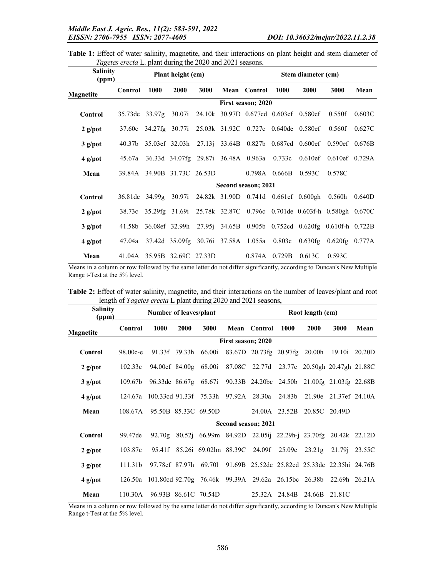|  |  |  |  | Table 1: Effect of water salinity, magnetite, and their interactions on plant height and stem diameter of |  |  |  |  |
|--|--|--|--|-----------------------------------------------------------------------------------------------------------|--|--|--|--|
|  |  |  |  | <i>Tagetes erecta</i> L. plant during the 2020 and 2021 seasons.                                          |  |  |  |  |

| <b>Salinity</b><br>(ppm) |         |                             | Plant height (cm) |      |                                     |                   | Stem diameter (cm)                                                 |                                                                            |        |
|--------------------------|---------|-----------------------------|-------------------|------|-------------------------------------|-------------------|--------------------------------------------------------------------|----------------------------------------------------------------------------|--------|
| Magnetite                | Control | <b>1000</b>                 | <b>2000</b>       | 3000 | <b>Mean</b> Control                 | 1000              | 2000                                                               | 3000                                                                       | Mean   |
|                          |         |                             |                   |      | First season; 2020                  |                   |                                                                    |                                                                            |        |
| Control                  |         |                             |                   |      |                                     |                   | 35.73de 33.97g 30.07i 24.10k 30.97D 0.677cd 0.603ef 0.580ef 0.550f |                                                                            | 0.603C |
| $2$ g/pot                | 37.60c  |                             |                   |      |                                     |                   | 34.27fg 30.77i 25.03k 31.92C 0.727c 0.640de 0.580ef 0.560f         |                                                                            | 0.627C |
| $3$ g/pot                | 40.37b  |                             |                   |      |                                     |                   |                                                                    | 35.03ef 32.03h 27.13j 33.64B 0.827b 0.687cd 0.600ef 0.590ef 0.676B         |        |
| $4$ g/pot                | 45.67a  |                             |                   |      |                                     |                   |                                                                    | 36.33d 34.07fg 29.87i 36.48A 0.963a 0.733c 0.610ef 0.610ef 0.729A          |        |
| Mean                     |         | 39.84A 34.90B 31.73C 26.53D |                   |      |                                     |                   | $0.798A$ $0.666B$ $0.593C$                                         | 0.578C                                                                     |        |
|                          |         |                             |                   |      | Second season; 2021                 |                   |                                                                    |                                                                            |        |
| Control                  |         |                             |                   |      |                                     |                   |                                                                    | 36.81de 34.99g 30.97i 24.82k 31.90D 0.741d 0.661ef 0.600gh 0.560h          | 0.640D |
| $2$ g/pot                |         |                             |                   |      |                                     |                   |                                                                    | 38.73c 35.29fg 31.69i 25.78k 32.87C 0.796c 0.701de 0.603f-h 0.580gh 0.670C |        |
| $3$ g/pot                | 41.58b  |                             |                   |      |                                     |                   |                                                                    | 36.08ef 32.99h 27.95j 34.65B 0.905b 0.752cd 0.620fg 0.610f-h 0.722B        |        |
| $4$ g/pot                | 47.04a  |                             |                   |      | 37.42d 35.09fg 30.76i 37.58A 1.055a | 0.803c            |                                                                    | $0.630fg$ $0.620fg$ $0.777A$                                               |        |
| Mean                     |         | 41.04A 35.95B 32.69C 27.33D |                   |      |                                     | $0.874A$ $0.729B$ | 0.613C                                                             | 0.593C                                                                     |        |

Means in a column or row followed by the same letter do not differ significantly, according to Duncan's New Multiple Range t-Test at the 5% level.

| <b>Salinity</b><br>(ppm) |                     | Number of leaves/plant                                                    |             |                                                                    | Root length (cm)          |                                               |                             |      |        |        |  |
|--------------------------|---------------------|---------------------------------------------------------------------------|-------------|--------------------------------------------------------------------|---------------------------|-----------------------------------------------|-----------------------------|------|--------|--------|--|
| Magnetite                | Control             | 1000                                                                      | <b>2000</b> | 3000                                                               |                           | <b>Mean</b> Control                           | 1000                        | 2000 | 3000   | Mean   |  |
|                          |                     |                                                                           |             |                                                                    | <b>First season; 2020</b> |                                               |                             |      |        |        |  |
| <b>Control</b>           | $98.00c - e$        | 91.33f 79.33h                                                             |             | 66.00i                                                             |                           | 83.67D 20.73fg 20.97fg 20.00h 19.10i 20.20D   |                             |      |        |        |  |
| $2$ g/pot                | 102.33c             |                                                                           |             | 94.00ef 84.00g 68.00i 87.08C 22.77d 23.77c 20.50gh 20.47gh 21.88C  |                           |                                               |                             |      |        |        |  |
| $3$ g/pot                | 109.67b             |                                                                           |             | 96.33de 86.67g 68.67i 90.33B 24.20bc 24.50b 21.00fg 21.03fg 22.68B |                           |                                               |                             |      |        |        |  |
| $4$ g/pot                | 124.67a             | 100.33cd 91.33f 75.33h 97.92A 28.30a 24.83b 21.90e 21.37ef 24.10A         |             |                                                                    |                           |                                               |                             |      |        |        |  |
| Mean                     | 108.67A             |                                                                           |             | 95.50B 85.33C 69.50D                                               |                           |                                               | 24.00A 23.52B 20.85C 20.49D |      |        |        |  |
|                          |                     |                                                                           |             |                                                                    |                           | Second season; 2021                           |                             |      |        |        |  |
| Control                  | 99.47de             |                                                                           |             | 92.70g 80.52j 66.99m 84.92D 22.05ij 22.29h-j 23.70fg 20.42k 22.12D |                           |                                               |                             |      |        |        |  |
| $2$ g/pot                | 103.87c             |                                                                           |             | 95.41f 85.26i 69.02lm 88.39C 24.09f 25.09e 23.21g                  |                           |                                               |                             |      | 21.79i | 23.55C |  |
| $3$ g/pot                | 111.31 <sub>b</sub> |                                                                           |             | 97.78ef 87.97h 69.70l                                              |                           | 91.69B 25.52de 25.82cd 25.33de 22.35hi 24.76B |                             |      |        |        |  |
| $4$ g/pot                |                     | 126.50a 101.80cd 92.70g 76.46k 99.39A 29.62a 26.15bc 26.38b 22.69h 26.21A |             |                                                                    |                           |                                               |                             |      |        |        |  |
| Mean                     | 110.30A             |                                                                           |             | 96.93B 86.61C 70.54D                                               |                           |                                               | 25.32A 24.84B 24.66B 21.81C |      |        |        |  |

Table 2: Effect of water salinity, magnetite, and their interactions on the number of leaves/plant and root length of *Tagetes erecta* L plant during 2020 and 2021 seasons,

Means in a column or row followed by the same letter do not differ significantly, according to Duncan's New Multiple Range t-Test at the 5% level.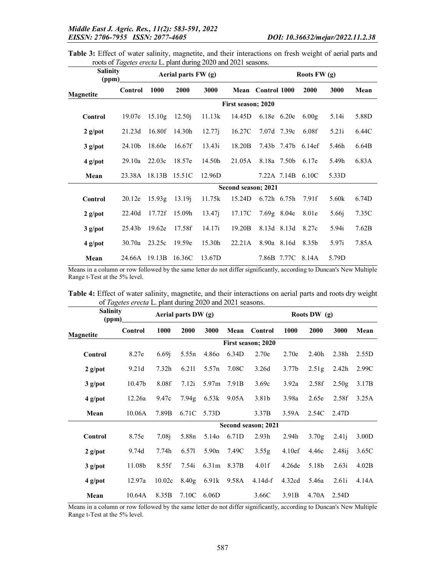Table 3: Effect of water salinity, magnetite, and their interactions on fresh weight of aerial parts and roots of *Tagetes erecta* L. plant during 2020 and 2021 seasons.

| <b>Salinity</b><br>(ppm) |         | Aerial parts FW (g) | Roots $FW(g)$ |        |                     |                 |  |                    |                   |       |
|--------------------------|---------|---------------------|---------------|--------|---------------------|-----------------|--|--------------------|-------------------|-------|
| Magnetite                | Control | 1000                | 2000          | 3000   | Mean                | Control 1000    |  | 2000               | 3000              | Mean  |
|                          |         |                     |               |        | First season; 2020  |                 |  |                    |                   |       |
| <b>Control</b>           | 19.07e  | 15.10g              | 12.50j        | 11.13k | 14.45D              | 6.18e 6.20e     |  | 6.00g              | 5.14i             | 5.88D |
| $2$ g/pot                | 21.23d  | 16.80f              | 14.30h        | 12.77j | 16.27C              | 7.07d 7.39c     |  | 6.08f              | 5.21i             | 6.44C |
| $3$ g/pot                | 24.10b  | 18.60e              | 16.67f        | 13.43i | 18.20B              |                 |  | 7.43b 7.47b 6.14ef | 5.46h             | 6.64B |
| $4$ g/pot                | 29.10a  | 22.03c              | 18.57e        | 14.50h | 21.05A              | 8.18a 7.50b     |  | 6.17e              | 5.49h             | 6.83A |
| Mean                     | 23.38A  | 18.13B              | 15.51C        | 12.96D |                     | 7.22A 7.14B     |  | 6.10C              | 5.33D             |       |
|                          |         |                     |               |        | Second season; 2021 |                 |  |                    |                   |       |
| Control                  | 20.12e  | 15.93g              | 13.19j        | 11.75k | 15.24D              | $6.72h$ $6.75h$ |  | 7.91f              | 5.60k             | 6.74D |
| $2$ g/pot                | 22.40d  | 17.72f              | 15.09h        | 13.47i | 17.17C              | $7.69g$ 8.04e   |  | 8.01e              | 5.66 <sup>j</sup> | 7.35C |
| $3$ g/pot                | 25.43b  | 19.62e              | 17.58f        | 14.17i | 19.20B              | 8.13d 8.13d     |  | 8.27c              | 5.94i             | 7.62B |
| $4$ g/pot                | 30.70a  | 23.25c              | 19.59e        | 15.30h | 22.21A              | 8.90a 8.16d     |  | 8.35b              | 5.97i             | 7.85A |
| Mean                     | 24.66A  | 19.13B              | 16.36C        | 13.67D |                     |                 |  | 7.86B 7.77C 8.14A  | 5.79D             |       |

Means in a column or row followed by the same letter do not differ significantly, according to Duncan's New Multiple Range t-Test at the 5% level.

| Table 4: Effect of water salinity, magnetite, and their interactions on aerial parts and roots dry weight |  |  |  |
|-----------------------------------------------------------------------------------------------------------|--|--|--|
| of Tagetes erecta L. plant during 2020 and 2021 seasons.                                                  |  |  |  |

| <b>Salinity</b><br>(ppm) |                    |                   | Aerial parts DW (g) |                   |       | Roots DW (g)        |                    |                   |                   |       |  |
|--------------------------|--------------------|-------------------|---------------------|-------------------|-------|---------------------|--------------------|-------------------|-------------------|-------|--|
| <b>Magnetite</b>         | Control            | 1000              | 2000                | 3000              | Mean  | Control             | 1000               | 2000              | 3000              | Mean  |  |
|                          |                    |                   |                     |                   |       | First season; 2020  |                    |                   |                   |       |  |
| Control                  | 8.27e              | 6.69i             | 5.55n               | 4.860             | 6.34D | 2.70e               | 2.70e              | 2.40h             | 2.38h             | 2.55D |  |
| $2$ g/pot                | 9.21d              | 7.32 <sub>h</sub> | 6.211               | 5.57n             | 7.08C | 3.26d               | 3.77 <sub>b</sub>  | 2.51 <sub>g</sub> | 2.42 <sub>h</sub> | 2.99C |  |
| $3$ g/pot                | 10.47 <sub>b</sub> | 8.08f             | 7.12i               | 5.97 <sub>m</sub> | 7.91B | 3.69c               | 3.92a              | 2.58f             | 2.50g             | 3.17B |  |
| $4$ g/pot                | 12.26a             | 9.47c             | 7.94g               | 6.53k             | 9.05A | 3.81b               | 3.98a              | 2.65e             | 2.58f             | 3.25A |  |
| Mean                     | 10.06A             | 7.89B             | 6.71C               | 5.73D             |       | 3.37B               | 3.59A              | 2.54C             | 2.47D             |       |  |
|                          |                    |                   |                     |                   |       | Second season; 2021 |                    |                   |                   |       |  |
| Control                  | 8.75e              | 7.08 <sub>i</sub> | 5.88 <sub>n</sub>   | 5.14 <sub>o</sub> | 6.71D | 2.93 <sub>h</sub>   | 2.94 <sub>h</sub>  | 3.70g             | 2.41j             | 3.00D |  |
| $2$ g/pot                | 9.74d              | 7.74h             | 6.571               | 5.90n             | 7.49C | 3.55g               | 4.10ef             | 4.46c             | 2.48i             | 3.65C |  |
| $3$ g/pot                | 11.08b             | 8.55f             | 7.54i               | 6.31 <sub>m</sub> | 8.37B | 4.01f               | 4.26 <sub>de</sub> | 5.18b             | 2.63i             | 4.02B |  |
| $4$ g/pot                | 12.97a             | 10.02c            | 8.40 <sub>g</sub>   | 6.91k             | 9.58A | $4.14d-f$           | 4.32cd             | 5.46a             | 2.61i             | 4.14A |  |
| Mean                     | 10.64A             | 8.35B             | 7.10C               | 6.06D             |       | 3.66C               | 3.91B              | 4.70A             | 2.54D             |       |  |

Means in a column or row followed by the same letter do not differ significantly, according to Duncan's New Multiple Range t-Test at the 5% level.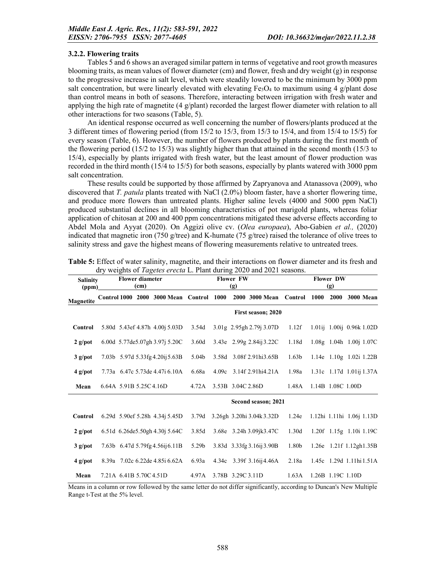#### 3.2.2. Flowering traits

Tables 5 and 6 shows an averaged similar pattern in terms of vegetative and root growth measures blooming traits, as mean values of flower diameter (cm) and flower, fresh and dry weight  $(g)$  in response to the progressive increase in salt level, which were steadily lowered to be the minimum by 3000 ppm salt concentration, but were linearly elevated with elevating  $Fe<sub>3</sub>O<sub>4</sub>$  to maximum using 4 g/plant dose than control means in both of seasons. Therefore, interacting between irrigation with fresh water and applying the high rate of magnetite  $(4 \frac{g}{\theta})$  recorded the largest flower diameter with relation to all other interactions for two seasons (Table, 5).

An identical response occurred as well concerning the number of flowers/plants produced at the 3 different times of flowering period (from 15/2 to 15/3, from 15/3 to 15/4, and from 15/4 to 15/5) for every season (Table, 6). However, the number of flowers produced by plants during the first month of the flowering period (15/2 to 15/3) was slightly higher than that attained in the second month (15/3 to 15/4), especially by plants irrigated with fresh water, but the least amount of flower production was recorded in the third month (15/4 to 15/5) for both seasons, especially by plants watered with 3000 ppm salt concentration.

These results could be supported by those affirmed by Zapryanova and Atanassova (2009), who discovered that *T. patula* plants treated with NaCl (2.0%) bloom faster, have a shorter flowering time, and produce more flowers than untreated plants. Higher saline levels (4000 and 5000 ppm NaCl) produced substantial declines in all blooming characteristics of pot marigold plants, whereas foliar application of chitosan at 200 and 400 ppm concentrations mitigated these adverse effects according to Abdel Mola and Ayyat (2020). On Aggizi olive cv. (*Olea europaea*), Abo-Gabien *et al.,* (2020) indicated that magnetic iron (750 g/tree) and K-humate (75 g/tree) raised the tolerance of olive trees to salinity stress and gave the highest means of flowering measurements relative to untreated trees.

|                  | <b>Flower diameter</b><br><b>Salinity</b><br>(cm)<br>(ppm) |                         |      |                                 | <b>Flower FW</b><br>(g) |       |                   |                            | <b>Flower DW</b><br>(g) |                           |                                 |  |                  |
|------------------|------------------------------------------------------------|-------------------------|------|---------------------------------|-------------------------|-------|-------------------|----------------------------|-------------------------|---------------------------|---------------------------------|--|------------------|
| <b>Magnetite</b> | <b>Control 1000</b>                                        |                         | 2000 | 3000 Mean Control 1000          |                         |       |                   | 2000 3000 Mean             | Control                 | 1000                      | 2000                            |  | <b>3000 Mean</b> |
|                  |                                                            |                         |      |                                 |                         |       |                   | First season; 2020         |                         |                           |                                 |  |                  |
| Control          |                                                            |                         |      | 5.80d 5.43ef 4.87h 4.00j 5.03D  | 3.54d                   |       |                   | $3.01g$ 2.95gh 2.79j 3.07D | 1.12f                   |                           | 1.01ij 1.00ij 0.96k 1.02D       |  |                  |
| $2$ g/pot        |                                                            |                         |      | 6.00d 5.77de5.07gh 3.97j 5.20C  | 3.60d                   |       |                   | 3.43e 2.99g 2.84ij 3.22C   | 1.18d                   |                           | 1.08g 1.04h 1.00j 1.07C         |  |                  |
| $3$ g/pot        |                                                            |                         |      | 7.03b 5.97d 5.33fg 4.20ij 5.63B | 5.04 <sub>b</sub>       |       |                   | 3.58d 3.08f 2.91hi3.65B    | 1.63 <sub>b</sub>       |                           | 1.14e $1.10g$ 1.02i 1.22B       |  |                  |
| $4$ g/pot        |                                                            |                         |      | 7.73a 6.47c 5.73de 4.47i 6.10A  | 6.68a                   | 4.09c |                   | 3.14f 2.91hi4.21A          | 1.98a                   |                           | 1.31c 1.17d 1.01ij 1.37A        |  |                  |
| Mean             |                                                            | 6.64A 5.91B 5.25C 4.16D |      |                                 | 4.72A                   |       | 3.53B 3.04C 2.86D |                            | 1.48A                   |                           | 1.14B 1.08C 1.00D               |  |                  |
|                  |                                                            |                         |      |                                 |                         |       |                   | Second season; 2021        |                         |                           |                                 |  |                  |
| Control          |                                                            |                         |      | 6.29d 5.90ef 5.28h 4.34j 5.45D  | 3.79d                   |       |                   | 3.26gh 3.20hi 3.04k 3.32D  | 1.24e                   | 1.12hi 1.11hi 1.06j 1.13D |                                 |  |                  |
| $2$ g/pot        |                                                            |                         |      | 6.51d 6.26de5.50gh 4.30j 5.64C  | 3.85d                   |       |                   | 3.68e 3.24h 3.09jk3.47C    | 1.30d                   |                           | $1.20f$ $1.15g$ $1.10i$ $1.19C$ |  |                  |
| $3$ g/pot        |                                                            |                         |      | 7.63b 6.47d 5.79fg 4.56ij 6.11B | 5.29 <sub>b</sub>       |       |                   | 3.83d 3.33fg 3.16ij 3.90B  | 1.80b                   |                           | 1.26e 1.21f 1.12gh1.35B         |  |                  |
| $4$ g/pot        |                                                            |                         |      | 8.39a 7.02c 6.22de 4.85i 6.62A  | 6.93a                   |       |                   | 4.34c 3.39f 3.16ij4.46A    | 2.18a                   |                           | 1.45c 1.29d 1.11hi 1.51A        |  |                  |
| Mean             |                                                            | 7.21A 6.41B 5.70C 4.51D |      |                                 | 4.97A                   |       | 3.78B 3.29C 3.11D |                            | 1.63A                   |                           | 1.26B 1.19C 1.10D               |  |                  |

| Table 5: Effect of water salinity, magnetite, and their interactions on flower diameter and its fresh and |  |  |
|-----------------------------------------------------------------------------------------------------------|--|--|
| dry weights of <i>Tagetes erecta</i> L. Plant during 2020 and 2021 seasons.                               |  |  |

Means in a column or row followed by the same letter do not differ significantly, according to Duncan's New Multiple Range t-Test at the 5% level.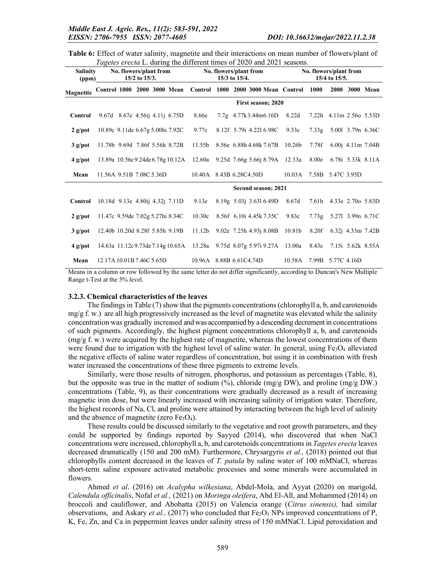Table 6: Effect of water salinity, magnetite and their interactions on mean number of flowers/plant of *Tagetes erecta* L. during the different times of 2020 and 2021 seasons.

| <b>Salinity</b><br>(ppm) |                                  | No. flowers/plant from | $15/2$ to $15/3$ . |                                   | No. flowers/plant from<br>No. flowers/plant from<br>15/3 to 15/4.<br>15/4 to 15/5. |  |  |                                       |                    |       |                         |  |                           |
|--------------------------|----------------------------------|------------------------|--------------------|-----------------------------------|------------------------------------------------------------------------------------|--|--|---------------------------------------|--------------------|-------|-------------------------|--|---------------------------|
| <b>Magnetite</b>         | Control 1000 2000 3000 Mean      |                        |                    |                                   |                                                                                    |  |  | Control 1000 2000 3000 Mean Control   |                    | 1000  | 2000                    |  | <b>3000 Mean</b>          |
|                          |                                  |                        |                    |                                   |                                                                                    |  |  | First season; 2020                    |                    |       |                         |  |                           |
| Control                  | 9.67d 8.67e 4.56ij 4.11j 6.75D   |                        |                    |                                   | 8.66e                                                                              |  |  | 7.7g 4.77k3.44m6.16D                  | 8.22d              |       | 7.22h 4.11m 2.56o 5.53D |  |                           |
| $2$ g/pot                | 10.89c 9.11de 6.67g 5.00hi 7.92C |                        |                    |                                   | 9.77c                                                                              |  |  | 8.12f 5.79i 4.22l 6.98C               | 9.33c              | 7.33g |                         |  | 5.001 3.79n 6.36C         |
| $3$ g/pot                | 11.78b 9.69d 7.86f 5.56h 8.72B   |                        |                    |                                   | 11.55b                                                                             |  |  | 8.56e 6.88h 4.68k 7.67B               | 10.26 <sub>b</sub> | 7.78f |                         |  | $6.00$ j $4.11$ m $7.04B$ |
| $4$ g/pot                |                                  |                        |                    | 13.89a 10.56c 9.24de 6.78g 10.12A |                                                                                    |  |  | 12.60a 9.25d 7.66g 5.66j 8.79A 12.33a |                    | 8.00e |                         |  | 6.78i 5.33k 8.11A         |
| Mean                     | 11.56A 9.51B 7.08C 5.36D         |                        |                    |                                   | 10.40A 8.43B 6.28C4.50D                                                            |  |  |                                       | 10.03A             |       | 7.58B 5.47C 3.95D       |  |                           |
|                          |                                  |                        |                    |                                   |                                                                                    |  |  | Second season; 2021                   |                    |       |                         |  |                           |
| Control                  | 10.18d 9.13e 4.80ij 4.32j 7.11D  |                        |                    |                                   | 9.13e                                                                              |  |  | $8.19g$ 5.03j 3.63l 6.49D             | 8.67d              | 7.61h |                         |  | 4.33e 2.70o 5.83D         |
| $2$ g/pot                | 11.47c 9.59de 7.02g 5.27hi 8.34C |                        |                    |                                   | 10.30c                                                                             |  |  | 8.56f 6.10i 4.45k 7.35C               | 9.83c              | 7.73g | 5.271 3.99n 6.71C       |  |                           |
| $3$ g/pot                | 12.40b 10.20d 8.28f 5.85h 9.19B  |                        |                    |                                   | 11.12 <sub>b</sub>                                                                 |  |  | 9.02e 7.25h 4.93j 8.08B               | 10.81b             | 8.20f |                         |  | $6.32j$ 4.33m 7.42B       |
| $4$ g/pot                |                                  |                        |                    | 14.63a 11.12c 9.73de 7.14g 10.65A |                                                                                    |  |  | 13.28a 9.75d 8.07g 5.97i 9.27A 13.00a |                    | 8.43e |                         |  | 7.15i 5.62k 8.55A         |
| Mean                     | 12.17A 10.01B 7.46C 5.65D        |                        |                    |                                   | 10.96A 8.88B 6.61C4.74D                                                            |  |  |                                       | 10.58A             |       | 7.99B 5.77C 4.16D       |  |                           |

Means in a column or row followed by the same letter do not differ significantly, according to Duncan's New Multiple Range t-Test at the 5% level.

#### 3.2.3. Chemical characteristics of the leaves

The findings in Table (7) show that the pigments concentrations(chlorophyll a, b, and carotenoids  $mg/g f. w$ ) are all high progressively increased as the level of magnetite was elevated while the salinity concentration was gradually increased and was accompanied by a descending decrement in concentrations of such pigments. Accordingly, the highest pigment concentrations chlorophyll a, b, and carotenoids (mg/g f. w.) were acquired by the highest rate of magnetite, whereas the lowest concentrations of them were found due to irrigation with the highest level of saline water. In general, using  $Fe<sub>3</sub>O<sub>4</sub>$  alleviated the negative effects of saline water regardless of concentration, but using it in combination with fresh water increased the concentrations of these three pigments to extreme levels.

Similarly, were those results of nitrogen, phosphorus, and potassium as percentages (Table, 8), but the opposite was true in the matter of sodium  $\frac{9}{2}$ , chloride  $\frac{mg}{g}$  DW, and proline  $\frac{mg}{g}$  DW.) concentrations (Table, 9), as their concentrations were gradually decreased as a result of increasing magnetic iron dose, but were linearly increased with increasing salinity of irrigation water. Therefore, the highest records of Na, Cl, and proline were attained by interacting between the high level of salinity and the absence of magnetite (zero  $Fe<sub>3</sub>O<sub>4</sub>$ ).

These results could be discussed similarly to the vegetative and root growth parameters, and they could be supported by findings reported by Sayyed (2014), who discovered that when NaCl concentrations were increased, chlorophyll a, b, and carotenoids concentrations in *Tagetes erecta* leaves decreased dramatically (150 and 200 mM). Furthermore, Chrysargyris *et al.,* (2018) pointed out that chlorophylls content decreased in the leaves of *T. patula* by saline water of 100 mMNaCl, whereas short-term saline exposure activated metabolic processes and some minerals were accumulated in flowers.

Ahmed *et al*. (2016) on *Acalypha wilkesiana*, Abdel-Mola, and Ayyat (2020) on marigold, *Calendula officinalis*, Nofal *et al.,* (2021) on *Moringa oleifera*, Abd El-All, and Mohammed (2014) on broccoli and cauliflower, and Abobatta (2015) on Valencia orange (*Citrus sinensis),* had similar observations, and Askary *et al.*,  $(2017)$  who concluded that  $Fe<sub>2</sub>O<sub>3</sub>$  NPs improved concentrations of P, K, Fe, Zn, and Ca in peppermint leaves under salinity stress of 150 mMNaCl. Lipid peroxidation and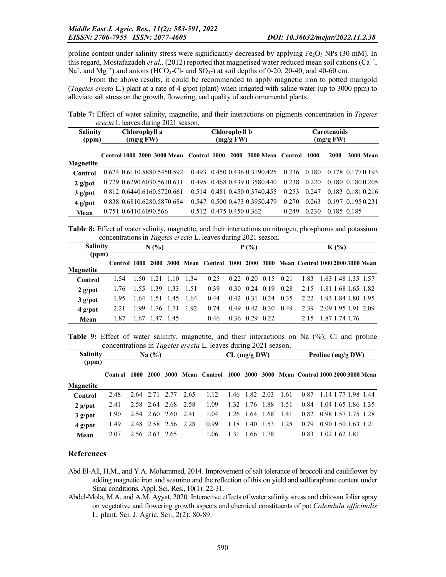proline content under salinity stress were significantly decreased by applying  $Fe<sub>2</sub>O<sub>3</sub> NPs$  (30 mM). In this regard, Mostafazadeh *et al.,* (2012) reported that magnetised water reduced mean soil cations ( $Ca^{++}$ ,  $Na<sup>+</sup>$ , and  $Mg<sup>++</sup>$ ) and anions (HCO<sub>3</sub>-Cl- and SO<sub>4</sub>-) at soil depths of 0-20, 20-40, and 40-60 cm.

From the above results, it could be recommended to apply magnetic iron to potted marigold (*Tagetes erecta* L.) plant at a rate of 4 g/pot (plant) when irrigated with saline water (up to 3000 ppm) to alleviate salt stress on the growth, flowering, and quality of such ornamental plants.

Table 7: Effect of water salinity, magnetite, and their interactions on pigments concentration in *Tagetes erecta* L leaves during 2021 season.

| <b>Salinity</b><br>(ppm) | Chlorophyll a<br>(mg/gFW)                                            |  | Chlorophyll b<br>(mg/gFW) |                                                      | <b>Carotenoids</b><br>(mg/gFW) |       |             |                   |  |  |
|--------------------------|----------------------------------------------------------------------|--|---------------------------|------------------------------------------------------|--------------------------------|-------|-------------|-------------------|--|--|
|                          | Control 1000 2000 3000 Mean Control 1000 2000 3000 Mean Control 1000 |  |                           |                                                      |                                |       | 2000        | <b>3000 Mean</b>  |  |  |
| <b>Magnetite</b>         |                                                                      |  |                           |                                                      |                                |       |             |                   |  |  |
| <b>Control</b>           | 0.624 0.6110.5880.5450.592                                           |  |                           | $0.493$ $0.450$ $0.436$ $0.3190.425$ $0.236$ $0.180$ |                                |       |             | 0.178 0.177 0.193 |  |  |
| $2$ g/pot                | 0.729 0.6290.6030.5610.631                                           |  |                           | 0.495 0.468 0.439 0.3580.440                         | 0.238                          | 0.220 |             | 0.180 0.180 0.205 |  |  |
| $3$ g/pot                | 0.812 0.6440.6160.5720.661                                           |  |                           | 0.514 0.481 0.450 0.3740.455                         | 0.253                          | 0.247 |             | 0.183 0.181 0.216 |  |  |
| $4$ g/pot                | 0.838 0.6810.6280.5870.684                                           |  |                           | 0.547 0.500 0.473 0.3950.479                         | 0.270                          | 0.263 |             | 0.197 0.195 0.231 |  |  |
| Mean                     | 0.751 0.6410.6090.566                                                |  |                           | $0.512$ 0.475 0.450 0.362                            | 0.249                          | 0.230 | 0.185 0.185 |                   |  |  |

Table 8: Effect of water salinity, magnetite, and their interactions on nitrogen, phosphorus and potassium concentrations in *Tagetes erecta* L. leaves during 2021 season.

| <b>Salinity</b>    |              |      | N(%            |                     |       |                                                                   | $K(\%)$              |      |                                         |                          |  |  |  |  |
|--------------------|--------------|------|----------------|---------------------|-------|-------------------------------------------------------------------|----------------------|------|-----------------------------------------|--------------------------|--|--|--|--|
| (ppm)<br>Magnetite | Control 1000 |      | -2000          |                     |       | 3000 Mean Control 1000 2000 3000 Mean Control 1000 2000 3000 Mean |                      |      |                                         |                          |  |  |  |  |
| Control            | 1.54         | 1.50 | $1.21$ 1.10    |                     | 1.34  | 0.25                                                              |                      |      | $0.22 \quad 0.20 \quad 0.15 \quad 0.21$ | 1.83 1.63 1.48 1.35 1.57 |  |  |  |  |
| $2$ g/pot          | 1.76         |      | 1.55 1.39 1.33 |                     | -1.51 | 0.39                                                              | $0.30 \quad 0.24$    | 0.19 | 0.28                                    | 2.15 1.81 1.68 1.65 1.82 |  |  |  |  |
| $3$ g/pot          | 1.95         |      |                | 1.64 1.51 1.45 1.64 |       | 0.44                                                              | $0.42$ $0.31$ $0.24$ |      | 0.35                                    | 2.22 1.93 1.84 1.80 1.95 |  |  |  |  |
| $4$ g/pot          | 2.21         | 199  | 1.76 1.71      |                     | 1.92  | 0.74                                                              | $0.49$ $0.42$ $0.30$ |      | 0.49                                    | 2.39 2.09 1.95 1.91 2.09 |  |  |  |  |
| Mean               | 1.87         | 1.67 | 1.47 1.45      |                     |       | 0.46                                                              | $0.36$ $0.29$ $0.22$ |      |                                         | 2.15 1.87 1.74 1.76      |  |  |  |  |

Table 9: Effect of water salinity, magnetite, and their interactions on Na (%); Cl and proline concentrations in *Tagetes erecta* L. leaves during 2021 season.

| <b>Salinity</b><br>(ppm) |         |      | Na $(\% )$     |                     |      |                   | Proline $(mg/g)$ DW) |           |      |      |                                       |                |  |  |                     |
|--------------------------|---------|------|----------------|---------------------|------|-------------------|----------------------|-----------|------|------|---------------------------------------|----------------|--|--|---------------------|
|                          | Control | 1000 | 2000           | 3000                |      | Mean Control 1000 |                      | 2000      |      |      | 3000 Mean Control 1000 2000 3000 Mean |                |  |  |                     |
| <b>Magnetite</b>         |         |      |                |                     |      |                   |                      |           |      |      |                                       |                |  |  |                     |
| Control                  | 2.48    | 2.64 |                | 2.71 2.77           | 2.65 | 1.12              | 1.46                 | 1.82      | 2.03 | 1.61 | 0.87                                  |                |  |  | 1.14 1.77 1.98 1.44 |
| $2$ g/pot                | 2.41    |      |                | 2.58 2.64 2.68 2.58 |      | 1.09              | 1.32                 | 1.76      | 1.88 | 1.51 | 0.84                                  |                |  |  | 1.04 1.65 1.86 1.35 |
| $3$ g/pot                | 1.90    |      | 2.54 2.60 2.60 |                     | 2.41 | 1.04              | 1.26                 | -1.64     | 1.68 | 1.41 | 0.82                                  |                |  |  | 0.98 1.57 1.75 1.28 |
| $4$ g/pot                | 1.49    |      |                | 2.48 2.58 2.56 2.28 |      | 0.99              | 1.18                 | 1.40      | 1.53 | 1.28 | 0.79                                  |                |  |  | 0.901.501.631.21    |
| Mean                     | 2.07    |      | 2.56 2.63 2.65 |                     |      | 1.06              | 1.31                 | 1.66 1.78 |      |      | 0.83                                  | 1.02 1.62 1.81 |  |  |                     |

#### References

- Abd El-All, H.M., and Y.A. Mohammed, 2014. Improvement of salt tolerance of broccoli and cauliflower by adding magnetic iron and seamino and the reflection of this on yield and sulforaphane content under Sinai conditions. Appl. Sci. Res., 10(1): 22-31.
- Abdel-Mola, M.A. and A.M. Ayyat, 2020. Interactive effects of water salinity stress and chitosan foliar spray on vegetative and flowering growth aspects and chemical constituents of pot *Calendula officinalis* L. plant. Sci. J. Agric. Sci., 2(2): 80-89.